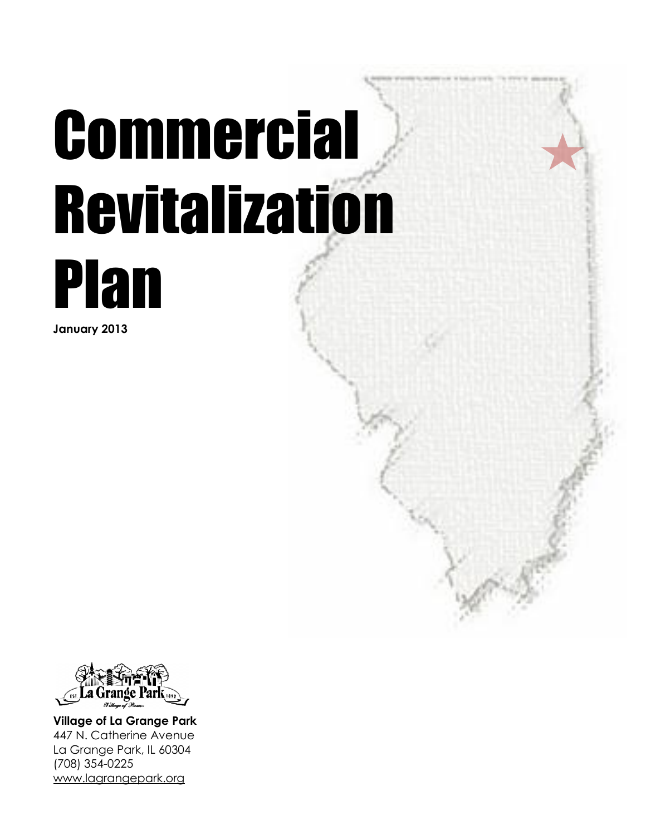# Commercial Revitalization



**January 2013**



**Village of La Grange Park** 447 N. Catherine Avenue La Grange Park, IL 60304 (708) 354-0225 [www.lagrangepark.org](http://www.lagrangepark.org/)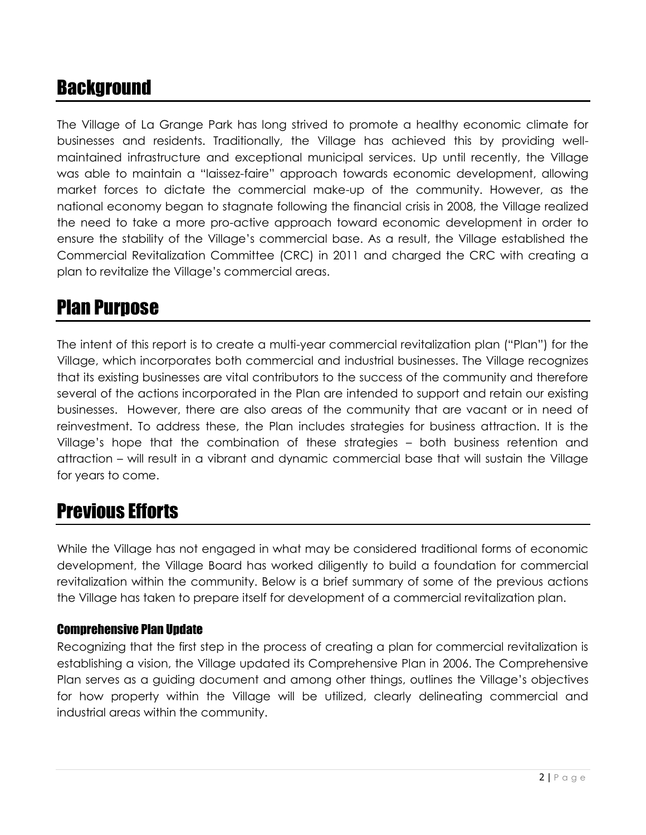# **Background**

The Village of La Grange Park has long strived to promote a healthy economic climate for businesses and residents. Traditionally, the Village has achieved this by providing wellmaintained infrastructure and exceptional municipal services. Up until recently, the Village was able to maintain a "laissez-faire" approach towards economic development, allowing market forces to dictate the commercial make-up of the community. However, as the national economy began to stagnate following the financial crisis in 2008, the Village realized the need to take a more pro-active approach toward economic development in order to ensure the stability of the Village's commercial base. As a result, the Village established the Commercial Revitalization Committee (CRC) in 2011 and charged the CRC with creating a plan to revitalize the Village's commercial areas.

# Plan Purpose

The intent of this report is to create a multi-year commercial revitalization plan ("Plan") for the Village, which incorporates both commercial and industrial businesses. The Village recognizes that its existing businesses are vital contributors to the success of the community and therefore several of the actions incorporated in the Plan are intended to support and retain our existing businesses. However, there are also areas of the community that are vacant or in need of reinvestment. To address these, the Plan includes strategies for business attraction. It is the Village's hope that the combination of these strategies – both business retention and attraction – will result in a vibrant and dynamic commercial base that will sustain the Village for years to come.

# Previous Efforts

While the Village has not engaged in what may be considered traditional forms of economic development, the Village Board has worked diligently to build a foundation for commercial revitalization within the community. Below is a brief summary of some of the previous actions the Village has taken to prepare itself for development of a commercial revitalization plan.

## Comprehensive Plan Update

Recognizing that the first step in the process of creating a plan for commercial revitalization is establishing a vision, the Village updated its Comprehensive Plan in 2006. The Comprehensive Plan serves as a guiding document and among other things, outlines the Village's objectives for how property within the Village will be utilized, clearly delineating commercial and industrial areas within the community.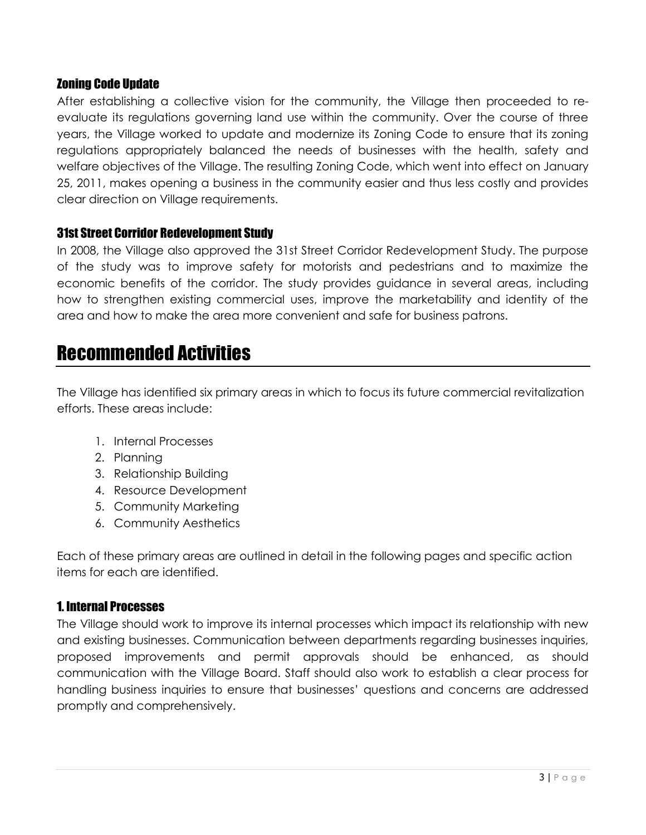#### Zoning Code Update

After establishing a collective vision for the community, the Village then proceeded to reevaluate its regulations governing land use within the community. Over the course of three years, the Village worked to update and modernize its Zoning Code to ensure that its zoning regulations appropriately balanced the needs of businesses with the health, safety and welfare objectives of the Village. The resulting Zoning Code, which went into effect on January 25, 2011, makes opening a business in the community easier and thus less costly and provides clear direction on Village requirements.

#### 31st Street Corridor Redevelopment Study

In 2008, the Village also approved the 31st Street Corridor Redevelopment Study. The purpose of the study was to improve safety for motorists and pedestrians and to maximize the economic benefits of the corridor. The study provides guidance in several areas, including how to strengthen existing commercial uses, improve the marketability and identity of the area and how to make the area more convenient and safe for business patrons.

## Recommended Activities

The Village has identified six primary areas in which to focus its future commercial revitalization efforts. These areas include:

- 1. Internal Processes
- 2. Planning
- 3. Relationship Building
- 4. Resource Development
- 5. Community Marketing
- 6. Community Aesthetics

Each of these primary areas are outlined in detail in the following pages and specific action items for each are identified.

#### 1. Internal Processes

The Village should work to improve its internal processes which impact its relationship with new and existing businesses. Communication between departments regarding businesses inquiries, proposed improvements and permit approvals should be enhanced, as should communication with the Village Board. Staff should also work to establish a clear process for handling business inquiries to ensure that businesses' questions and concerns are addressed promptly and comprehensively.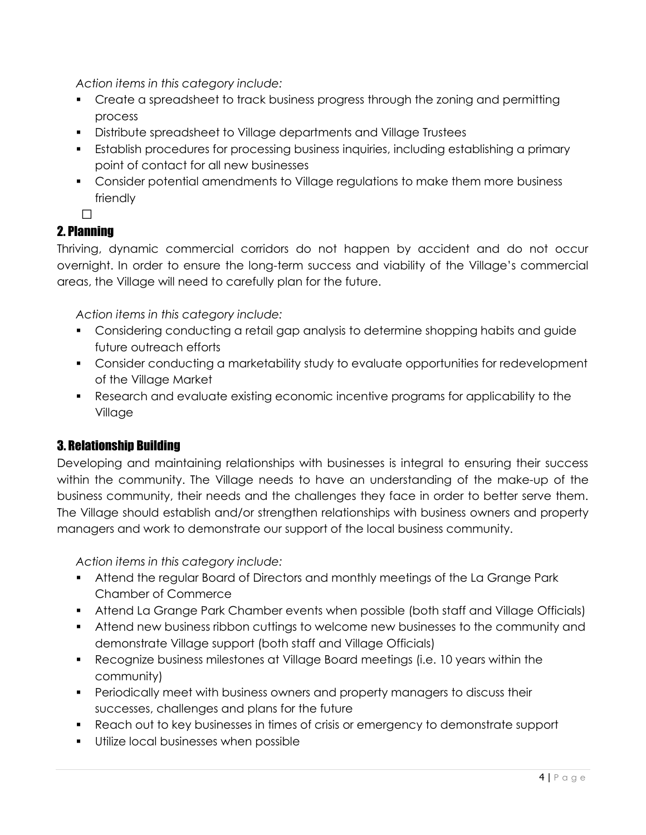*Action items in this category include:*

- Create a spreadsheet to track business progress through the zoning and permitting process
- Distribute spreadsheet to Village departments and Village Trustees
- Establish procedures for processing business inquiries, including establishing a primary point of contact for all new businesses
- Consider potential amendments to Village regulations to make them more business friendly

•

## 2. Planning

Thriving, dynamic commercial corridors do not happen by accident and do not occur overnight. In order to ensure the long-term success and viability of the Village's commercial areas, the Village will need to carefully plan for the future.

*Action items in this category include:*

- Considering conducting a retail gap analysis to determine shopping habits and guide future outreach efforts
- Consider conducting a marketability study to evaluate opportunities for redevelopment of the Village Market
- Research and evaluate existing economic incentive programs for applicability to the Village

## 3. Relationship Building

Developing and maintaining relationships with businesses is integral to ensuring their success within the community. The Village needs to have an understanding of the make-up of the business community, their needs and the challenges they face in order to better serve them. The Village should establish and/or strengthen relationships with business owners and property managers and work to demonstrate our support of the local business community.

*Action items in this category include:*

- Attend the regular Board of Directors and monthly meetings of the La Grange Park Chamber of Commerce
- Attend La Grange Park Chamber events when possible (both staff and Village Officials)
- Attend new business ribbon cuttings to welcome new businesses to the community and demonstrate Village support (both staff and Village Officials)
- Recognize business milestones at Village Board meetings (i.e. 10 years within the community)
- Periodically meet with business owners and property managers to discuss their successes, challenges and plans for the future
- Reach out to key businesses in times of crisis or emergency to demonstrate support
- **Utilize local businesses when possible**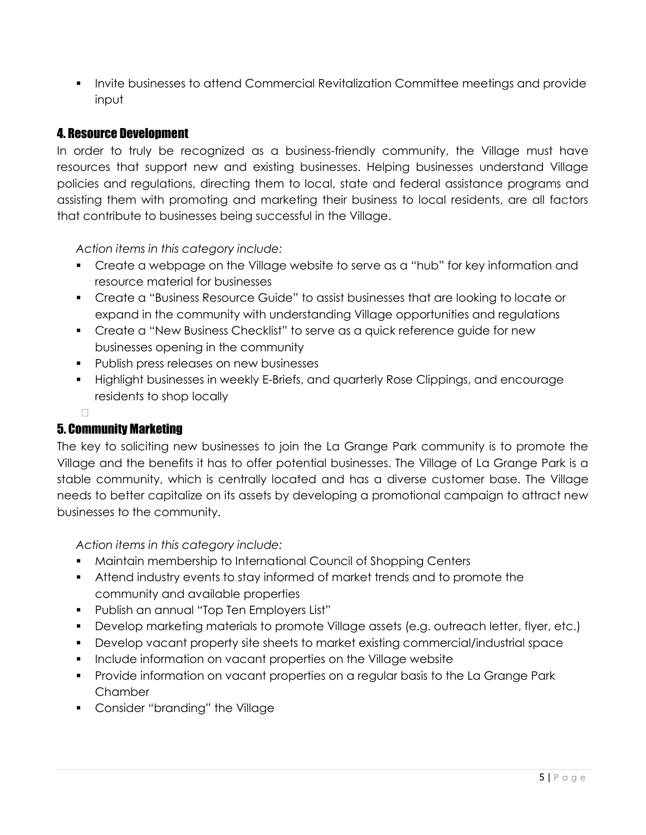Invite businesses to attend Commercial Revitalization Committee meetings and provide input

## 4. Resource Development

In order to truly be recognized as a business-friendly community, the Village must have resources that support new and existing businesses. Helping businesses understand Village policies and regulations, directing them to local, state and federal assistance programs and assisting them with promoting and marketing their business to local residents, are all factors that contribute to businesses being successful in the Village.

*Action items in this category include:*

- Create a webpage on the Village website to serve as a "hub" for key information and resource material for businesses
- Create a "Business Resource Guide" to assist businesses that are looking to locate or expand in the community with understanding Village opportunities and regulations
- Create a "New Business Checklist" to serve as a quick reference guide for new businesses opening in the community
- **Publish press releases on new businesses**
- Highlight businesses in weekly E-Briefs, and quarterly Rose Clippings, and encourage residents to shop locally

#### • 5. Community Marketing

The key to soliciting new businesses to join the La Grange Park community is to promote the Village and the benefits it has to offer potential businesses. The Village of La Grange Park is a stable community, which is centrally located and has a diverse customer base. The Village needs to better capitalize on its assets by developing a promotional campaign to attract new businesses to the community.

*Action items in this category include:*

- Maintain membership to International Council of Shopping Centers
- Attend industry events to stay informed of market trends and to promote the community and available properties
- Publish an annual "Top Ten Employers List"
- Develop marketing materials to promote Village assets (e.g. outreach letter, flyer, etc.)
- Develop vacant property site sheets to market existing commercial/industrial space
- **Include information on vacant properties on the Village website**
- Provide information on vacant properties on a regular basis to the La Grange Park Chamber
- **Consider "branding" the Village**